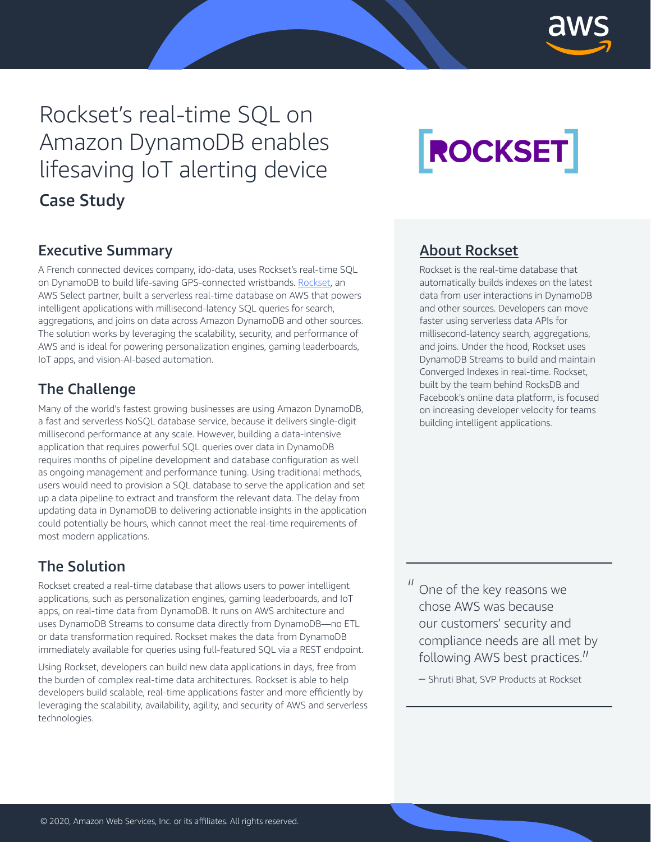

# Rockset's real-time SQL on Amazon DynamoDB enables lifesaving IoT alerting device Case Study

# ROCKSET

## Executive Summary

A French connected devices company, ido-data, uses Rockset's real-time SQL on DynamoDB to build life-saving GPS-connected wristbands. [Rockset,](https://rockset.com/) an AWS Select partner, built a serverless real-time database on AWS that powers intelligent applications with millisecond-latency SQL queries for search, aggregations, and joins on data across Amazon DynamoDB and other sources. The solution works by leveraging the scalability, security, and performance of AWS and is ideal for powering personalization engines, gaming leaderboards, IoT apps, and vision-AI-based automation.

# The Challenge

Many of the world's fastest growing businesses are using Amazon DynamoDB, a fast and serverless NoSQL database service, because it delivers single-digit millisecond performance at any scale. However, building a data-intensive application that requires powerful SQL queries over data in DynamoDB requires months of pipeline development and database configuration as well as ongoing management and performance tuning. Using traditional methods, users would need to provision a SQL database to serve the application and set up a data pipeline to extract and transform the relevant data. The delay from updating data in DynamoDB to delivering actionable insights in the application could potentially be hours, which cannot meet the real-time requirements of most modern applications.

# The Solution

Rockset created a real-time database that allows users to power intelligent applications, such as personalization engines, gaming leaderboards, and IoT apps, on real-time data from DynamoDB. It runs on AWS architecture and uses DynamoDB Streams to consume data directly from DynamoDB—no ETL or data transformation required. Rockset makes the data from DynamoDB immediately available for queries using full-featured SQL via a REST endpoint.

Using Rockset, developers can build new data applications in days, free from the burden of complex real-time data architectures. Rockset is able to help developers build scalable, real-time applications faster and more efficiently by leveraging the scalability, availability, agility, and security of AWS and serverless technologies.

### [About Rockset](https://rockset.com/)

Rockset is the real-time database that automatically builds indexes on the latest data from user interactions in DynamoDB and other sources. Developers can move faster using serverless data APIs for millisecond-latency search, aggregations, and joins. Under the hood, Rockset uses DynamoDB Streams to build and maintain Converged Indexes in real-time. Rockset, built by the team behind RocksDB and Facebook's online data platform, is focused on increasing developer velocity for teams building intelligent applications.

 $\frac{1}{10}$  One of the key reasons we chose AWS was because chose AWS was because our customers' security and compliance needs are all met by following AWS best practices."<br>- Shruti Bhat, SVP Products at Pockset

– Shruti Bhat, SVP Products at Rockset